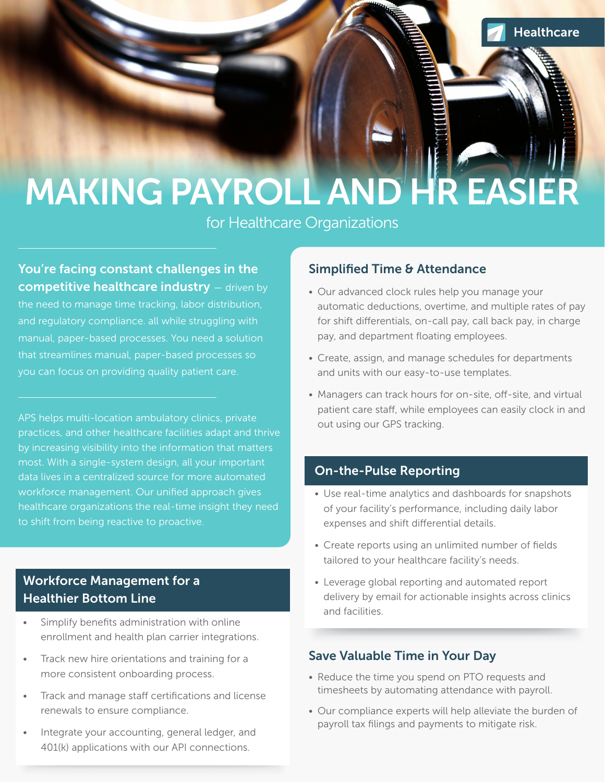# MAKING PAYROLL AND HR EASIER

for Healthcare Organizations

### You're facing constant challenges in the **competitive healthcare industry** – driven by

the need to manage time tracking, labor distribution, and regulatory compliance. all while struggling with manual, paper-based processes. You need a solution that streamlines manual, paper-based processes so you can focus on providing quality patient care.

APS helps multi-location ambulatory clinics, private practices, and other healthcare facilities adapt and thrive by increasing visibility into the information that matters most. With a single-system design, all your important data lives in a centralized source for more automated workforce management. Our unified approach gives healthcare organizations the real-time insight they need to shift from being reactive to proactive.

### Workforce Management for a Healthier Bottom Line

- Simplify benefits administration with online enrollment and health plan carrier integrations.
- Track new hire orientations and training for a more consistent onboarding process.
- Track and manage staff certifications and license renewals to ensure compliance.
- Integrate your accounting, general ledger, and 401(k) applications with our API connections.

### Simplified Time & Attendance

- Our advanced clock rules help you manage your automatic deductions, overtime, and multiple rates of pay for shift differentials, on-call pay, call back pay, in charge pay, and department floating employees.
- Create, assign, and manage schedules for departments and units with our easy-to-use templates.
- Managers can track hours for on-site, off-site, and virtual patient care staff, while employees can easily clock in and out using our GPS tracking.

### On-the-Pulse Reporting

- Use real-time analytics and dashboards for snapshots of your facility's performance, including daily labor expenses and shift differential details.
- Create reports using an unlimited number of fields tailored to your healthcare facility's needs.
- Leverage global reporting and automated report delivery by email for actionable insights across clinics and facilities.

### Save Valuable Time in Your Day

- Reduce the time you spend on PTO requests and timesheets by automating attendance with payroll.
- Our compliance experts will help alleviate the burden of payroll tax filings and payments to mitigate risk.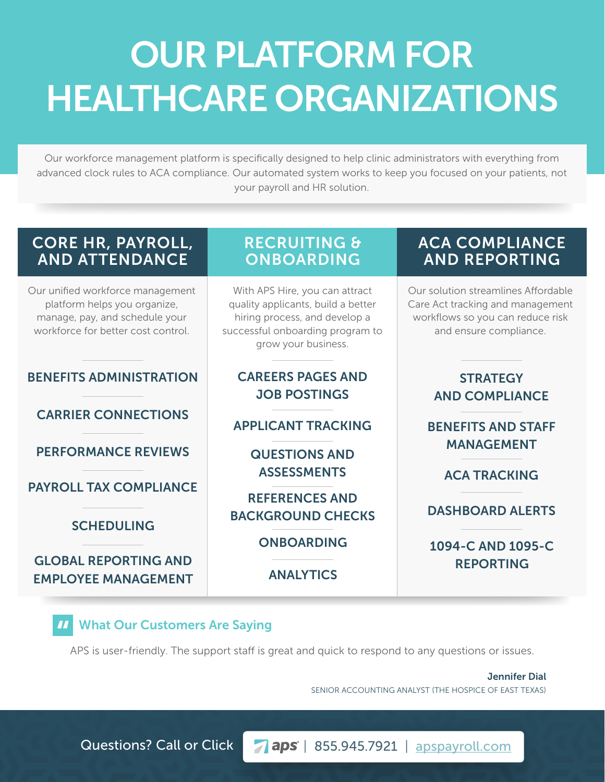## OUR PLATFORM FOR HEALTHCARE ORGANIZATIONS

Our workforce management platform is specifically designed to help clinic administrators with everything from advanced clock rules to ACA compliance. Our automated system works to keep you focused on your patients, not your payroll and HR solution.

### CORE HR, PAYROLL, AND ATTENDANCE

Our unified workforce management platform helps you organize, manage, pay, and schedule your workforce for better cost control.

### BENEFITS ADMINISTRATION CAREERS PAGES AND

CARRIER CONNECTIONS

PERFORMANCE REVIEWS QUESTIONS AND MANAGEMENT

PAYROLL TAX COMPLIANCE

#### SCHEDULING

GLOBAL REPORTING AND<br>EMPLOYEE MANAGEMENT ANALYTICS REPORTING **EMPLOYEE MANAGEMENT** 

### RECRUITING & **ONBOARDING**

With APS Hire, you can attract quality applicants, build a better hiring process, and develop a successful onboarding program to grow your business.

### JOB POSTINGS

APPLICANT TRACKING BENEFITS AND STAFF

ASSESSMENTS ACA TRACKING

REFERENCES AND BACKGROUND CHECKS DASHBOARD ALERTS

### ACA COMPLIANCE AND REPORTING

Our solution streamlines Affordable Care Act tracking and management workflows so you can reduce risk and ensure compliance.

### **STRATEGY** AND COMPLIANCE

## ONBOARDING 1094-C AND 1095-C

### " What Our Customers Are Saying

APS is user-friendly. The support staff is great and quick to respond to any questions or issues.

Jennifer Dial SENIOR ACCOUNTING ANALYST (THE HOSPICE OF EAST TEXAS)

Questions? Call or Click | 7 aps | 855.945.7921 | apspayroll.com